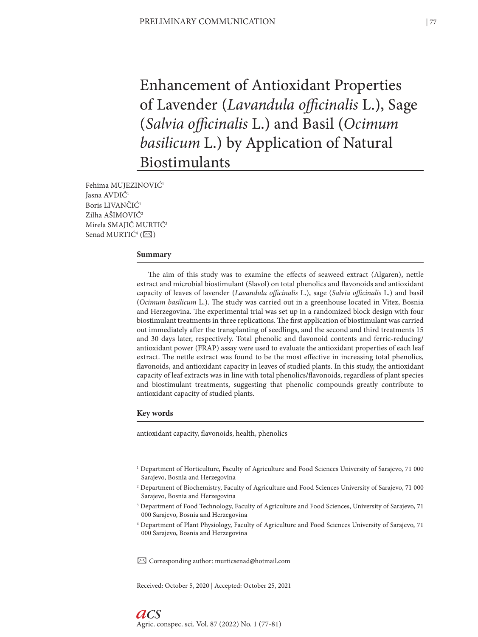Enhancement of Antioxidant Properties of Lavender (*Lavandula officinalis* L.), Sage (*Salvia officinalis* L.) and Basil (*Ocimum basilicum* L.) by Application of Natural Biostimulants

Fehima MUJEZINOVIĆ1 Jasna AVDIĆ1 Boris LIVANČIĆ1 Zilha AŠIMOVIĆ2 Mirela SMAJIĆ MURTIĆ3 Senad MURTIĆ<sup>4</sup> ( $\boxtimes$ )

## **Summary**

The aim of this study was to examine the effects of seaweed extract (Algaren), nettle extract and microbial biostimulant (Slavol) on total phenolics and flavonoids and antioxidant capacity of leaves of lavender (*Lavandula officinalis* L.), sage (*Salvia officinalis* L.) and basil (*Ocimum basilicum* L.). The study was carried out in a greenhouse located in Vitez, Bosnia and Herzegovina. The experimental trial was set up in a randomized block design with four biostimulant treatments in three replications. The first application of biostimulant was carried out immediately after the transplanting of seedlings, and the second and third treatments 15 and 30 days later, respectively. Total phenolic and flavonoid contents and ferric-reducing/ antioxidant power (FRAP) assay were used to evaluate the antioxidant properties of each leaf extract. The nettle extract was found to be the most effective in increasing total phenolics, flavonoids, and antioxidant capacity in leaves of studied plants. In this study, the antioxidant capacity of leaf extracts was in line with total phenolics/flavonoids, regardless of plant species and biostimulant treatments, suggesting that phenolic compounds greatly contribute to antioxidant capacity of studied plants.

#### **Key words**

antioxidant capacity, flavonoids, health, phenolics

- 1 Department of Horticulture, Faculty of Agriculture and Food Sciences University of Sarajevo, 71 000 Sarajevo, Bosnia and Herzegovina
- 2 Department of Biochemistry, Faculty of Agriculture and Food Sciences University of Sarajevo, 71 000 Sarajevo, Bosnia and Herzegovina
- 3 Department of Food Technology, Faculty of Agriculture and Food Sciences, University of Sarajevo, 71 000 Sarajevo, Bosnia and Herzegovina
- 4 Department of Plant Physiology, Faculty of Agriculture and Food Sciences University of Sarajevo, 71 000 Sarajevo, Bosnia and Herzegovina

✉ Corresponding author: murticsenad@hotmail.com

Received: October 5, 2020 | Accepted: October 25, 2021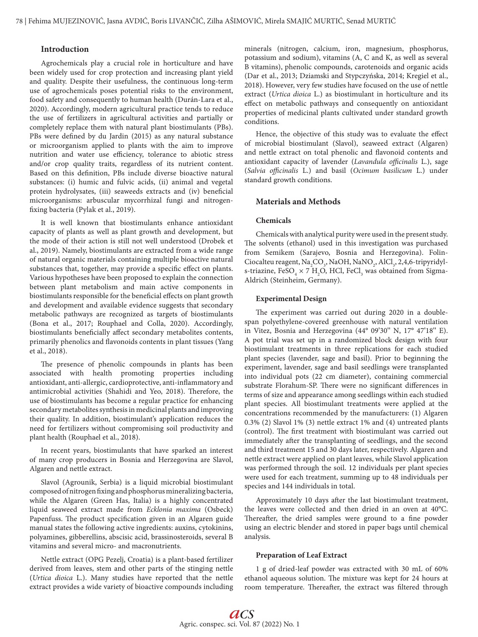# **Introduction**

Agrochemicals play a crucial role in horticulture and have been widely used for crop protection and increasing plant yield and quality. Despite their usefulness, the continuous long-term use of agrochemicals poses potential risks to the environment, food safety and consequently to human health (Durán-Lara et al., 2020). Accordingly, modern agricultural practice tends to reduce the use of fertilizers in agricultural activities and partially or completely replace them with natural plant biostimulants (PBs). PBs were defined by du Jardin (2015) as any natural substance or microorganism applied to plants with the aim to improve nutrition and water use efficiency, tolerance to abiotic stress and/or crop quality traits, regardless of its nutrient content. Based on this definition, PBs include diverse bioactive natural substances: (i) humic and fulvic acids, (ii) animal and vegetal protein hydrolysates, (iii) seaweeds extracts and (iv) beneficial microorganisms: arbuscular mycorrhizal fungi and nitrogenfixing bacteria (Pylak et al., 2019).

It is well known that biostimulants enhance antioxidant capacity of plants as well as plant growth and development, but the mode of their action is still not well understood (Drobek et al., 2019). Namely, biostimulants are extracted from a wide range of natural organic materials containing multiple bioactive natural substances that, together, may provide a specific effect on plants. Various hypotheses have been proposed to explain the connection between plant metabolism and main active components in biostimulants responsible for the beneficial effects on plant growth and development and available evidence suggests that secondary metabolic pathways are recognized as targets of biostimulants (Bona et al., 2017; Rouphael and Colla, 2020). Accordingly, biostimulants beneficially affect secondary metabolites contents, primarily phenolics and flavonoids contents in plant tissues (Yang et al., 2018).

The presence of phenolic compounds in plants has been associated with health promoting properties including antioxidant, anti-allergic, cardioprotective, anti-inflammatory and antimicrobial activities (Shahidi and Yeo, 2018). Therefore, the use of biostimulants has become a regular practice for enhancing secondary metabolites synthesis in medicinal plants and improving their quality. In addition, biostimulant's application reduces the need for fertilizers without compromising soil productivity and plant health (Rouphael et al., 2018).

In recent years, biostimulants that have sparked an interest of many crop producers in Bosnia and Herzegovina are Slavol, Algaren and nettle extract.

Slavol (Agrounik, Serbia) is a liquid microbial biostimulant composed of nitrogen fixing and phosphorus mineralizing bacteria, while the Algaren (Green Has, Italia) is a highly concentrated liquid seaweed extract made from *Ecklonia maxima* (Osbeck) Papenfuss. The product specification given in an Algaren guide manual states the following active ingredients: auxins, cytokinins, polyamines, gibberellins, abscisic acid, brassinosteroids, several B vitamins and several micro- and macronutrients.

Nettle extract (OPG Pezelj, Croatia) is a plant-based fertilizer derived from leaves, stem and other parts of the stinging nettle (*Urtica dioica* L.). Many studies have reported that the nettle extract provides a wide variety of bioactive compounds including

minerals (nitrogen, calcium, iron, magnesium, phosphorus, potassium and sodium), vitamins (A, C and K, as well as several B vitamins), phenolic compounds, carotenoids and organic acids (Dar et al., 2013; Dziamski and Stypczyńska, 2014; Kregiel et al., 2018). However, very few studies have focused on the use of nettle extract (*Urtica dioica* L.) as biostimulant in horticulture and its effect on metabolic pathways and consequently on antioxidant properties of medicinal plants cultivated under standard growth conditions.

Hence, the objective of this study was to evaluate the effect of microbial biostimulant (Slavol), seaweed extract (Algaren) and nettle extract on total phenolic and flavonoid contents and antioxidant capacity of lavender (*Lavandula officinalis* L.), sage (*Salvia officinalis* L.) and basil (*Ocimum basilicum* L.) under standard growth conditions.

## **Materials and Methods**

### **Chemicals**

Chemicals with analytical purity were used in the present study. The solvents (ethanol) used in this investigation was purchased from Semikem (Sarajevo, Bosnia and Herzegovina). Folin-Ciocalteu reagent,  $\text{Na}_2\text{CO}_3$ , NaOH, NaNO<sub>2</sub>, AlCl<sub>3</sub>, 2,4,6-tripyridyls-triazine,  $\text{FeSO}_4 \times 7 \text{ H}_2\text{O}$ , HCl, FeCl<sub>3</sub> was obtained from Sigma-Aldrich (Steinheim, Germany).

#### **Experimental Design**

The experiment was carried out during 2020 in a doublespan polyethylene-covered greenhouse with natural ventilation in Vitez, Bosnia and Herzegovina (44° 09'30'' N, 17° 47'18'' E). A pot trial was set up in a randomized block design with four biostimulant treatments in three replications for each studied plant species (lavender, sage and basil). Prior to beginning the experiment, lavender, sage and basil seedlings were transplanted into individual pots (22 cm diameter), containing commercial substrate Florahum-SP. There were no significant differences in terms of size and appearance among seedlings within each studied plant species. All biostimulant treatments were applied at the concentrations recommended by the manufacturers: (1) Algaren 0.3% (2) Slavol 1% (3) nettle extract 1% and (4) untreated plants (control). The first treatment with biostimulant was carried out immediately after the transplanting of seedlings, and the second and third treatment 15 and 30 days later, respectively. Algaren and nettle extract were applied on plant leaves, while Slavol application was performed through the soil. 12 individuals per plant species were used for each treatment, summing up to 48 individuals per species and 144 individuals in total.

Approximately 10 days after the last biostimulant treatment, the leaves were collected and then dried in an oven at 40°C. Thereafter, the dried samples were ground to a fine powder using an electric blender and stored in paper bags until chemical analysis.

#### **Preparation of Leaf Extract**

1 g of dried-leaf powder was extracted with 30 mL of 60% ethanol aqueous solution. The mixture was kept for 24 hours at room temperature. Thereafter, the extract was filtered through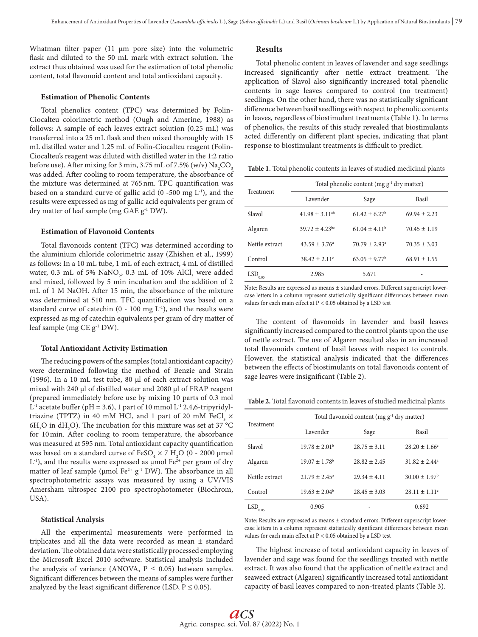Whatman filter paper (11 μm pore size) into the volumetric flask and diluted to the 50 mL mark with extract solution. The extract thus obtained was used for the estimation of total phenolic content, total flavonoid content and total antioxidant capacity.

## **Estimation of Phenolic Contents**

Total phenolics content (TPC) was determined by Folin-Ciocalteu colorimetric method (Ough and Amerine, 1988) as follows: A sample of each leaves extract solution (0.25 mL) was transferred into a 25 mL flask and then mixed thoroughly with 15 mL distilled water and 1.25 mL of Folin-Ciocalteu reagent (Folin-Ciocalteu's reagent was diluted with distilled water in the 1:2 ratio before use). After mixing for 3 min, 3.75 mL of 7.5% (w/v)  $\mathrm{Na_{2}CO_{_{3}}}$ was added. After cooling to room temperature, the absorbance of the mixture was determined at 765nm. TPC quantification was based on a standard curve of gallic acid (0 -500 mg  $L^{-1}$ ), and the results were expressed as mg of gallic acid equivalents per gram of dry matter of leaf sample (mg GAE g-1 DW).

## **Estimation of Flavonoid Contents**

Total flavonoids content (TFC) was determined according to the aluminium chloride colorimetric assay (Zhishen et al., 1999) as follows: In a 10 mL tube, 1 mL of each extract, 4 mL of distilled water, 0.3 mL of 5%  $\text{NaNO}_2$ , 0.3 mL of 10%  $\text{AlCl}_3$  were added and mixed, followed by 5 min incubation and the addition of 2 mL of 1 M NaOH. After 15 min, the absorbance of the mixture was determined at 510 nm. TFC quantification was based on a standard curve of catechin  $(0 - 100 \text{ mg } L^{-1})$ , and the results were expressed as mg of catechin equivalents per gram of dry matter of leaf sample (mg CE g-1 DW).

#### **Total Antioxidant Activity Estimation**

The reducing powers of the samples (total antioxidant capacity) were determined following the method of Benzie and Strain (1996). In a 10 mL test tube, 80 µl of each extract solution was mixed with 240 µl of distilled water and 2080 µl of FRAP reagent (prepared immediately before use by mixing 10 parts of 0.3 mol  $L^{-1}$  acetate buffer (pH = 3.6), 1 part of 10 mmol  $L^{-1}$  2,4,6-tripyridyltriazine (TPTZ) in 40 mM HCl, and 1 part of 20 mM  $\text{FeCl}_3 \times$  $6H<sub>2</sub>O$  in dH<sub>2</sub>O). The incubation for this mixture was set at 37 °C for 10min. After cooling to room temperature, the absorbance was measured at 595 nm. Total antioxidant capacity quantification was based on a standard curve of  $\text{FeSO}_4 \times 7 \text{ H}_2\text{O}$  (0 - 2000 µmol  $L^{-1}$ ), and the results were expressed as µmol Fe<sup>2+</sup> per gram of dry matter of leaf sample ( $\mu$ mol Fe<sup>2+</sup> g<sup>-1</sup> DW). The absorbance in all spectrophotometric assays was measured by using a UV/VIS Amersham ultrospec 2100 pro spectrophotometer (Biochrom, USA).

#### **Statistical Analysis**

All the experimental measurements were performed in triplicates and all the data were recorded as mean ± standard deviation. The obtained data were statistically processed employing the Microsoft Excel 2010 software. Statistical analysis included the analysis of variance (ANOVA,  $P \le 0.05$ ) between samples. Significant differences between the means of samples were further analyzed by the least significant difference (LSD,  $P \le 0.05$ ).

## **Results**

Total phenolic content in leaves of lavender and sage seedlings increased significantly after nettle extract treatment. The application of Slavol also significantly increased total phenolic contents in sage leaves compared to control (no treatment) seedlings. On the other hand, there was no statistically significant difference between basil seedlings with respect to phenolic contents in leaves, regardless of biostimulant treatments (Table 1). In terms of phenolics, the results of this study revealed that biostimulants acted differently on different plant species, indicating that plant response to biostimulant treatments is difficult to predict.

**Table 1.** Total phenolic contents in leaves of studied medicinal plants

| Treatment          | Total phenolic content (mg $g^{-1}$ dry matter) |                               |                  |  |
|--------------------|-------------------------------------------------|-------------------------------|------------------|--|
|                    | Lavender                                        | Sage                          | Basil            |  |
| Slavol             | $41.98 \pm 3.11^{ab}$                           | $61.42 + 6.27$                | $69.94 \pm 2.23$ |  |
| Algaren            | $39.72 \pm 4.23$ <sup>bc</sup>                  | $61.04 \pm 4.11^b$            | $70.45 \pm 1.19$ |  |
| Nettle extract     | $43.59 \pm 3.76^{\circ}$                        | $70.79 \pm 2.93$ <sup>a</sup> | $70.35 \pm 3.03$ |  |
| Control            | $38.42 \pm 2.11^{\circ}$                        | $63.05 \pm 9.77$ <sup>b</sup> | $68.91 \pm 1.55$ |  |
| <b>LSD</b><br>0.05 | 2.985                                           | 5.671                         |                  |  |

Note: Results are expressed as means ± standard errors. Different superscript lowercase letters in a column represent statistically significant differences between mean values for each main effect at P < 0.05 obtained by a LSD test

The content of flavonoids in lavender and basil leaves significantly increased compared to the control plants upon the use of nettle extract. The use of Algaren resulted also in an increased total flavonoids content of basil leaves with respect to controls. However, the statistical analysis indicated that the differences between the effects of biostimulants on total flavonoids content of sage leaves were insignificant (Table 2).

**Table 2.** Total flavonoid contents in leaves of studied medicinal plants

| Treatment      | Total flavonoid content (mg $g^{-1}$ dry matter) |                  |                               |  |
|----------------|--------------------------------------------------|------------------|-------------------------------|--|
|                | Lavender                                         | Sage             | Basil                         |  |
| Slavol         | $19.78 \pm 2.01^{\circ}$                         | $28.75 \pm 3.11$ | $28.20 \pm 1.66$ <sup>c</sup> |  |
| Algaren        | $19.07 \pm 1.78$ <sup>b</sup>                    | $28.82 \pm 2.45$ | $31.82 \pm 2.44^a$            |  |
| Nettle extract | $21.79 \pm 2.45^{\circ}$                         | $29.34 + 4.11$   | $30.00 \pm 1.97$ <sup>b</sup> |  |
| Control        | $19.63 \pm 2.04^b$                               | $28.45 \pm 3.03$ | $28.11 \pm 1.11$ <sup>c</sup> |  |
| LSD<br>0.05    | 0.905                                            |                  | 0.692                         |  |

Note: Results are expressed as means ± standard errors. Different superscript lowercase letters in a column represent statistically significant differences between mean values for each main effect at P < 0.05 obtained by a LSD test

The highest increase of total antioxidant capacity in leaves of lavender and sage was found for the seedlings treated with nettle extract. It was also found that the application of nettle extract and seaweed extract (Algaren) significantly increased total antioxidant capacity of basil leaves compared to non-treated plants (Table 3).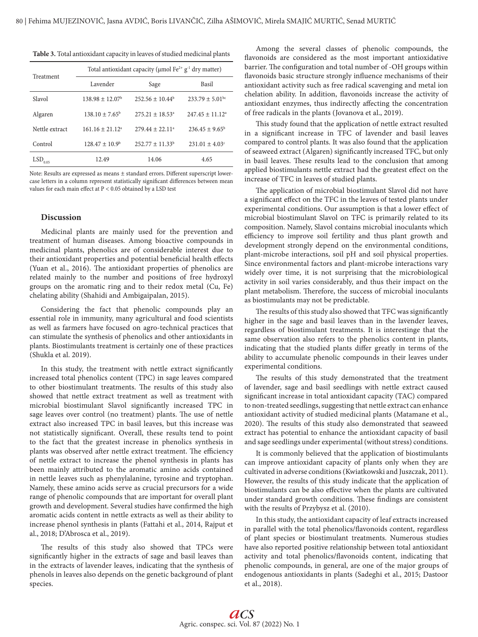**Table 3.** Total antioxidant capacity in leaves of studied medicinal plants

| Treatment             | Total antioxidant capacity (µmol Fe <sup>2+</sup> g <sup>-1</sup> dry matter) |                      |                                |  |
|-----------------------|-------------------------------------------------------------------------------|----------------------|--------------------------------|--|
|                       | Lavender                                                                      | Sage                 | Basil                          |  |
| Slavol                | $138.98 + 12.07b$                                                             | $252.56 + 10.44b$    | $233.79 \pm 5.01$ bc           |  |
| Algaren               | $138.10 + 7.65^{\circ}$                                                       | $275.21 + 18.53a$    | $247.45 \pm 11.12^a$           |  |
| Nettle extract        | $161.16 + 21.12a$                                                             | $279.44 + 22.11a$    | $236.45 \pm 9.65^{\circ}$      |  |
| Control               | $128.47 \pm 10.9^{\circ}$                                                     | $252.77 \pm 11.33^b$ | $231.01 \pm 4.03$ <sup>c</sup> |  |
| $LSD$ <sub>0.05</sub> | 12.49                                                                         | 14.06                | 4.65                           |  |

Note: Results are expressed as means ± standard errors. Different superscript lowercase letters in a column represent statistically significant differences between mean values for each main effect at P < 0.05 obtained by a LSD test

# **Discussion**

Medicinal plants are mainly used for the prevention and treatment of human diseases. Among bioactive compounds in medicinal plants, phenolics are of considerable interest due to their antioxidant properties and potential beneficial health effects (Yuan et al., 2016). The antioxidant properties of phenolics are related mainly to the number and positions of free hydroxyl groups on the aromatic ring and to their redox metal (Cu, Fe) chelating ability (Shahidi and Ambigaipalan, 2015).

Considering the fact that phenolic compounds play an essential role in immunity, many agricultural and food scientists as well as farmers have focused on agro-technical practices that can stimulate the synthesis of phenolics and other antioxidants in plants. Biostimulants treatment is certainly one of these practices (Shukla et al. 2019).

In this study, the treatment with nettle extract significantly increased total phenolics content (TPC) in sage leaves compared to other biostimulant treatments. The results of this study also showed that nettle extract treatment as well as treatment with microbial biostimulant Slavol significantly increased TPC in sage leaves over control (no treatment) plants. The use of nettle extract also increased TPC in basil leaves, but this increase was not statistically significant. Overall, these results tend to point to the fact that the greatest increase in phenolics synthesis in plants was observed after nettle extract treatment. The efficiency of nettle extract to increase the phenol synthesis in plants has been mainly attributed to the aromatic amino acids contained in nettle leaves such as phenylalanine, tyrosine and tryptophan. Namely, these amino acids serve as crucial precursors for a wide range of phenolic compounds that are important for overall plant growth and development. Several studies have confirmed the high aromatic acids content in nettle extracts as well as their ability to increase phenol synthesis in plants (Fattahi et al., 2014, Rajput et al., 2018; D'Abrosca et al., 2019).

The results of this study also showed that TPCs were significantly higher in the extracts of sage and basil leaves than in the extracts of lavender leaves, indicating that the synthesis of phenols in leaves also depends on the genetic background of plant species.

Among the several classes of phenolic compounds, the flavonoids are considered as the most important antioxidative barrier. The configuration and total number of -OH groups within flavonoids basic structure strongly influence mechanisms of their antioxidant activity such as free radical scavenging and metal ion chelation ability. In addition, flavonoids increase the activity of antioxidant enzymes, thus indirectly affecting the concentration of free radicals in the plants (Jovanova et al., 2019).

This study found that the application of nettle extract resulted in a significant increase in TFC of lavender and basil leaves compared to control plants. It was also found that the application of seaweed extract (Algaren) significantly increased TFC, but only in basil leaves. These results lead to the conclusion that among applied biostimulants nettle extract had the greatest effect on the increase of TFC in leaves of studied plants.

The application of microbial biostimulant Slavol did not have a significant effect on the TFC in the leaves of tested plants under experimental conditions. Our assumption is that a lower effect of microbial biostimulant Slavol on TFC is primarily related to its composition. Namely, Slavol contains microbial inoculants which efficiency to improve soil fertility and thus plant growth and development strongly depend on the environmental conditions, plant-microbe interactions, soil pH and soil physical properties. Since environmental factors and plant-microbe interactions vary widely over time, it is not surprising that the microbiological activity in soil varies considerably, and thus their impact on the plant metabolism. Therefore, the success of microbial inoculants as biostimulants may not be predictable.

The results of this study also showed that TFC was significantly higher in the sage and basil leaves than in the lavender leaves, regardless of biostimulant treatments. It is interestinge that the same observation also refers to the phenolics content in plants, indicating that the studied plants differ greatly in terms of the ability to accumulate phenolic compounds in their leaves under experimental conditions.

The results of this study demonstrated that the treatment of lavender, sage and basil seedlings with nettle extract caused significant increase in total antioxidant capacity (TAC) compared to non-treated seedlings, suggesting that nettle extract can enhance antioxidant activity of studied medicinal plants (Matamane et al., 2020). The results of this study also demonstrated that seaweed extract has potential to enhance the antioxidant capacity of basil and sage seedlings under experimental (without stress) conditions.

It is commonly believed that the application of biostimulants can improve antioxidant capacity of plants only when they are cultivated in adverse conditions (Kwiatkowski and Juszczak, 2011). However, the results of this study indicate that the application of biostimulants can be also effective when the plants are cultivated under standard growth conditions. These findings are consistent with the results of Przybysz et al. (2010).

In this study, the antioxidant capacity of leaf extracts increased in parallel with the total phenolics/flavonoids content, regardless of plant species or biostimulant treatments. Numerous studies have also reported positive relationship between total antioxidant activity and total phenolics/flavonoids content, indicating that phenolic compounds, in general, are one of the major groups of endogenous antioxidants in plants (Sadeghi et al., 2015; Dastoor et al., 2018).